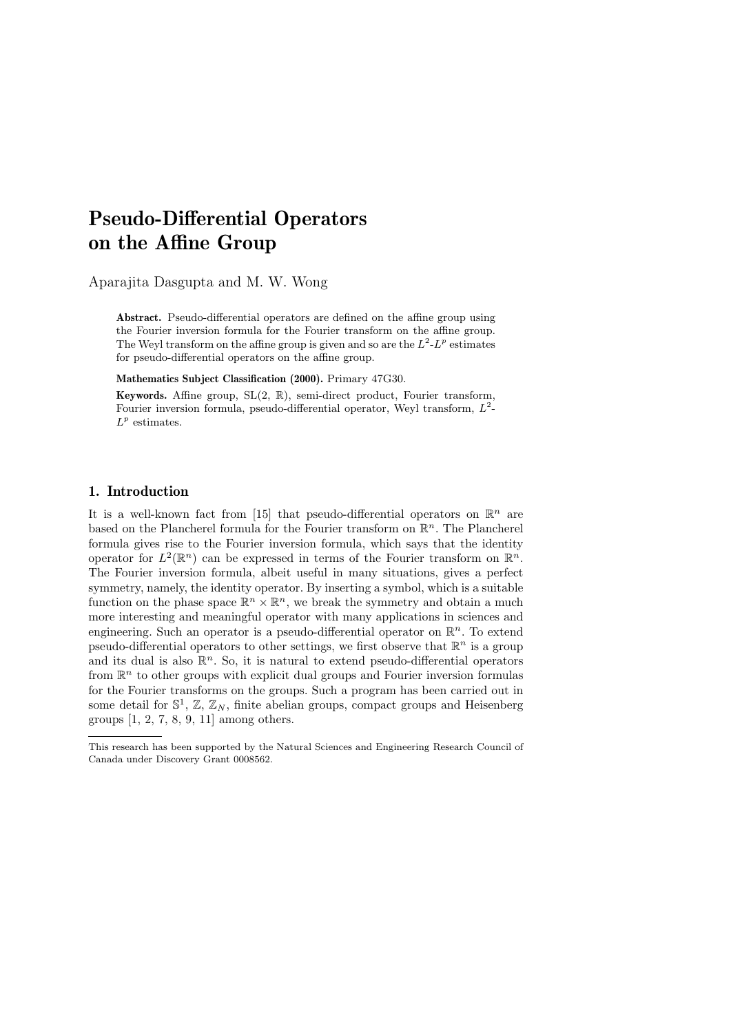# Pseudo-Differential Operators on the Affine Group

Aparajita Dasgupta and M. W. Wong

Abstract. Pseudo-differential operators are defined on the affine group using the Fourier inversion formula for the Fourier transform on the affine group. The Weyl transform on the affine group is given and so are the  $L^2$ - $L^p$  estimates for pseudo-differential operators on the affine group.

Mathematics Subject Classification (2000). Primary 47G30.

Keywords. Affine group, SL(2, R), semi-direct product, Fourier transform, Fourier inversion formula, pseudo-differential operator, Weyl transform,  $L^2$ - $L^p$  estimates.

## 1. Introduction

It is a well-known fact from [15] that pseudo-differential operators on  $\mathbb{R}^n$  are based on the Plancherel formula for the Fourier transform on  $\mathbb{R}^n$ . The Plancherel formula gives rise to the Fourier inversion formula, which says that the identity operator for  $L^2(\mathbb{R}^n)$  can be expressed in terms of the Fourier transform on  $\mathbb{R}^n$ . The Fourier inversion formula, albeit useful in many situations, gives a perfect symmetry, namely, the identity operator. By inserting a symbol, which is a suitable function on the phase space  $\mathbb{R}^n \times \mathbb{R}^n$ , we break the symmetry and obtain a much more interesting and meaningful operator with many applications in sciences and engineering. Such an operator is a pseudo-differential operator on  $\mathbb{R}^n$ . To extend pseudo-differential operators to other settings, we first observe that  $\mathbb{R}^n$  is a group and its dual is also  $\mathbb{R}^n$ . So, it is natural to extend pseudo-differential operators from  $\mathbb{R}^n$  to other groups with explicit dual groups and Fourier inversion formulas for the Fourier transforms on the groups. Such a program has been carried out in some detail for  $\mathbb{S}^1$ ,  $\mathbb{Z}, \mathbb{Z}_N$ , finite abelian groups, compact groups and Heisenberg groups [1, 2, 7, 8, 9, 11] among others.

This research has been supported by the Natural Sciences and Engineering Research Council of Canada under Discovery Grant 0008562.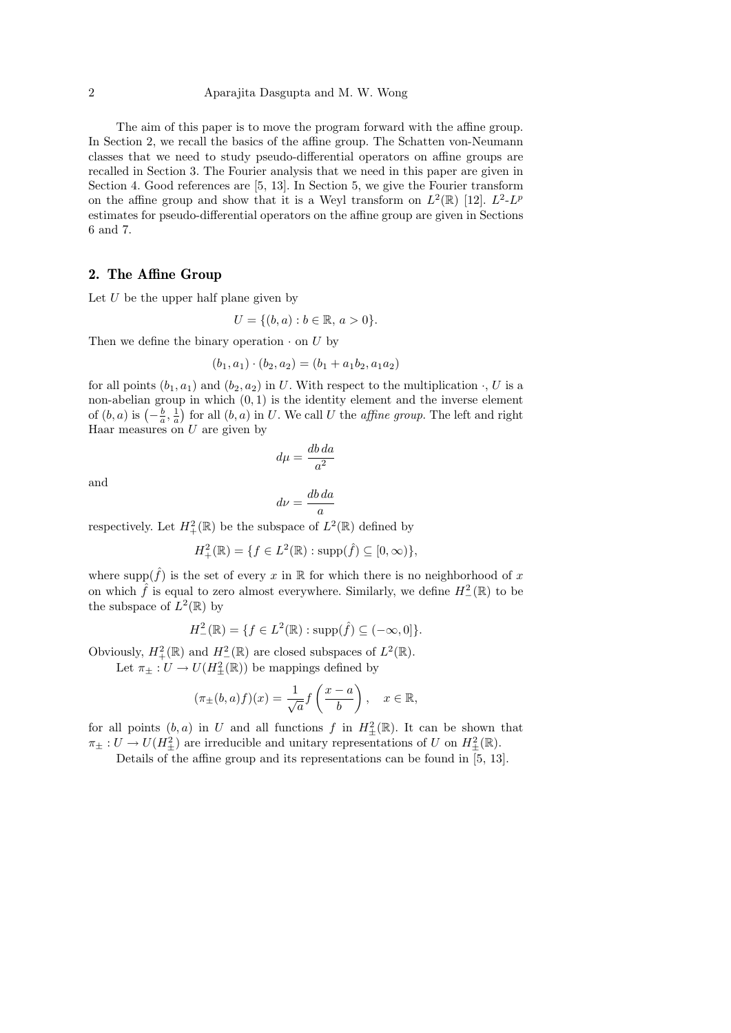The aim of this paper is to move the program forward with the affine group. In Section 2, we recall the basics of the affine group. The Schatten von-Neumann classes that we need to study pseudo-differential operators on affine groups are recalled in Section 3. The Fourier analysis that we need in this paper are given in Section 4. Good references are [5, 13]. In Section 5, we give the Fourier transform on the affine group and show that it is a Weyl transform on  $L^2(\mathbb{R})$  [12].  $L^2-L^p$ estimates for pseudo-differential operators on the affine group are given in Sections 6 and 7.

#### 2. The Affine Group

Let  $U$  be the upper half plane given by

$$
U = \{(b, a) : b \in \mathbb{R}, a > 0\}.
$$

Then we define the binary operation  $\cdot$  on U by

$$
(b_1, a_1) \cdot (b_2, a_2) = (b_1 + a_1b_2, a_1a_2)
$$

for all points  $(b_1, a_1)$  and  $(b_2, a_2)$  in U. With respect to the multiplication  $\cdot$ , U is a non-abelian group in which  $(0, 1)$  is the identity element and the inverse element of  $(b, a)$  is  $\left(-\frac{b}{a}, \frac{1}{a}\right)$  for all  $(b, a)$  in U. We call U the *affine group*. The left and right Haar measures on  $U$  are given by

$$
d\mu = \frac{db \, da}{a^2}
$$

and

$$
d\nu = \frac{db\,da}{a}
$$

respectively. Let  $H^2_+(\mathbb{R})$  be the subspace of  $L^2(\mathbb{R})$  defined by

$$
H_+^2(\mathbb{R}) = \{ f \in L^2(\mathbb{R}) : \text{supp}(\hat{f}) \subseteq [0, \infty) \},
$$

where  $\text{supp}(\hat{f})$  is the set of every x in R for which there is no neighborhood of x on which  $\hat{f}$  is equal to zero almost everywhere. Similarly, we define  $H^2_-(\mathbb{R})$  to be the subspace of  $L^2(\mathbb{R})$  by

$$
H^2_-(\mathbb{R}) = \{ f \in L^2(\mathbb{R}) : \text{supp}(\hat{f}) \subseteq (-\infty, 0] \}.
$$

Obviously,  $H^2_+(\mathbb{R})$  and  $H^2_-(\mathbb{R})$  are closed subspaces of  $L^2(\mathbb{R})$ .

Let  $\pi_{\pm}: U \to U(H^2_{\pm}(\mathbb{R}))$  be mappings defined by

$$
(\pi_{\pm}(b,a)f)(x) = \frac{1}{\sqrt{a}} f\left(\frac{x-a}{b}\right), \quad x \in \mathbb{R},
$$

for all points  $(b, a)$  in U and all functions f in  $H^2_{\pm}(\mathbb{R})$ . It can be shown that  $\pi_{\pm}: U \to U(H_{\pm}^2)$  are irreducible and unitary representations of U on  $H_{\pm}^2(\mathbb{R})$ .

Details of the affine group and its representations can be found in [5, 13].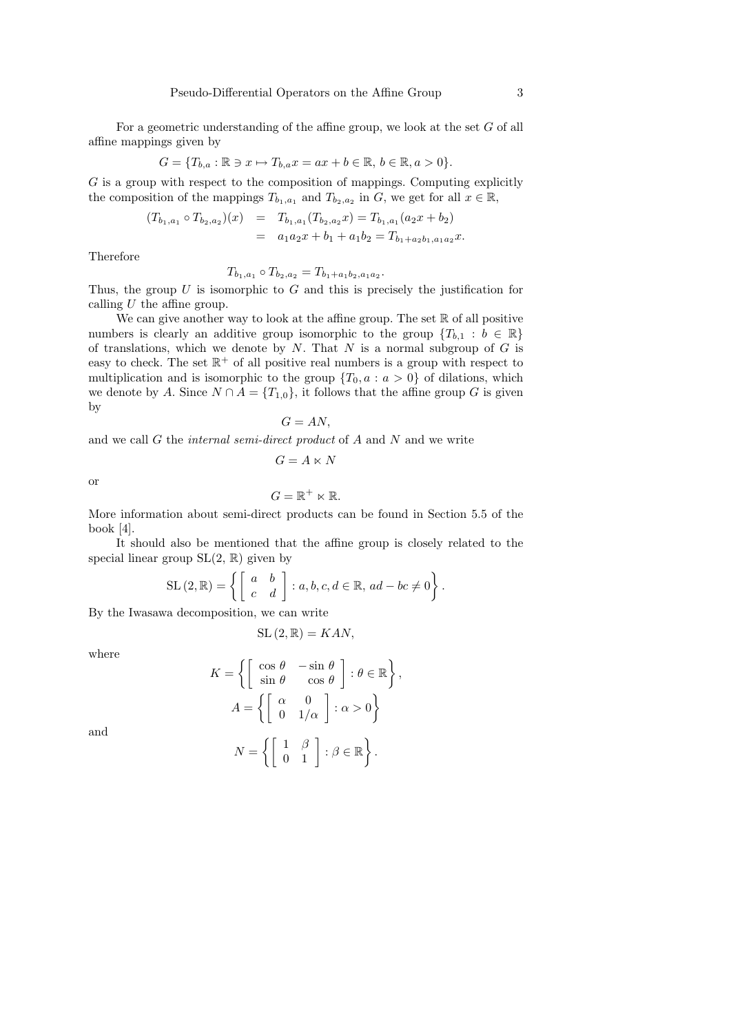For a geometric understanding of the affine group, we look at the set G of all affine mappings given by

$$
G = \{T_{b,a} : \mathbb{R} \ni x \mapsto T_{b,a}x = ax + b \in \mathbb{R}, b \in \mathbb{R}, a > 0\}.
$$

G is a group with respect to the composition of mappings. Computing explicitly the composition of the mappings  $T_{b_1,a_1}$  and  $T_{b_2,a_2}$  in G, we get for all  $x \in \mathbb{R}$ ,

$$
(T_{b_1,a_1} \circ T_{b_2,a_2})(x) = T_{b_1,a_1}(T_{b_2,a_2}x) = T_{b_1,a_1}(a_2x + b_2)
$$
  
=  $a_1a_2x + b_1 + a_1b_2 = T_{b_1+a_2b_1,a_1a_2}x.$ 

Therefore

$$
T_{b_1, a_1} \circ T_{b_2, a_2} = T_{b_1 + a_1 b_2, a_1 a_2}
$$

.

Thus, the group  $U$  is isomorphic to  $G$  and this is precisely the justification for calling  $U$  the affine group.

We can give another way to look at the affine group. The set  $\mathbb R$  of all positive numbers is clearly an additive group isomorphic to the group  $\{T_{b,1} : b \in \mathbb{R}\}\$ of translations, which we denote by  $N$ . That  $N$  is a normal subgroup of  $G$  is easy to check. The set  $\mathbb{R}^+$  of all positive real numbers is a group with respect to multiplication and is isomorphic to the group  $\{T_0, a : a > 0\}$  of dilations, which we denote by A. Since  $N \cap A = \{T_{1,0}\}\)$ , it follows that the affine group G is given by

$$
G=AN,
$$

and we call  $G$  the *internal semi-direct product* of  $A$  and  $N$  and we write

$$
G = A \ltimes N
$$

or

$$
G=\mathbb{R}^+\ltimes\mathbb{R}.
$$

More information about semi-direct products can be found in Section 5.5 of the book [4].

It should also be mentioned that the affine group is closely related to the special linear group  $SL(2, \mathbb{R})$  given by

$$
\mathrm{SL}\left(2,\mathbb{R}\right) = \left\{ \left[ \begin{array}{cc} a & b \\ c & d \end{array} \right] : a,b,c,d \in \mathbb{R},\, ad - bc \neq 0 \right\}.
$$

By the Iwasawa decomposition, we can write

$$
SL(2,\mathbb{R}) = KAN,
$$

where

$$
K = \left\{ \begin{bmatrix} \cos \theta & -\sin \theta \\ \sin \theta & \cos \theta \end{bmatrix} : \theta \in \mathbb{R} \right\},
$$

$$
A = \left\{ \begin{bmatrix} \alpha & 0 \\ 0 & 1/\alpha \end{bmatrix} : \alpha > 0 \right\}
$$

and

$$
N = \left\{ \begin{bmatrix} 1 & \beta \\ 0 & 1 \end{bmatrix} : \beta \in \mathbb{R} \right\}.
$$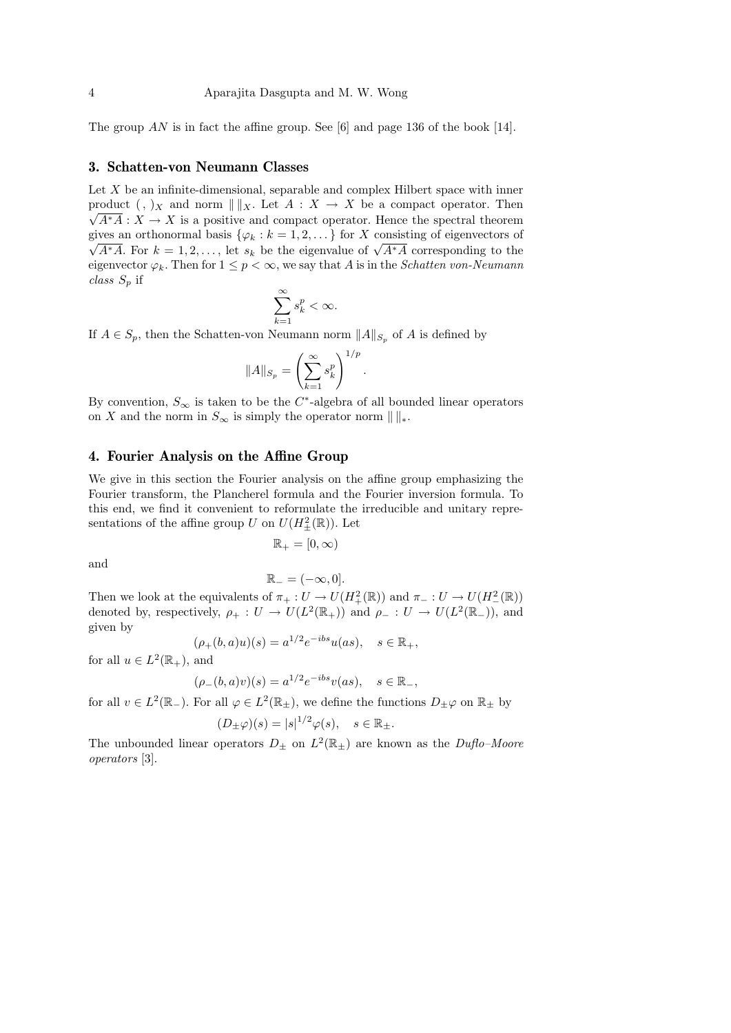The group  $AN$  is in fact the affine group. See [6] and page 136 of the book [14].

#### 3. Schatten-von Neumann Classes

Let  $X$  be an infinite-dimensional, separable and complex Hilbert space with inner product  $(, )_X$  and norm  $\| \|_X$ . Let  $A : X \to X$  be a compact operator. Then  $\sqrt{A^*A}: X \to X$  is a positive and compact operator. Hence the spectral theorem gives an orthonormal basis  $\{\varphi_k : k = 1, 2, \dots\}$  for X consisting of eigenvectors of ves an orthonormal basis  $\{\varphi_k : \kappa = 1, 2, \dots\}$  for  $\Lambda$  consisting or eigenvectors or  $A^*A$ . For  $k = 1, 2, \dots$ , let  $s_k$  be the eigenvalue of  $\sqrt{A^*A}$  corresponding to the eigenvector  $\varphi_k$ . Then for  $1 \leq p < \infty$ , we say that A is in the *Schatten von-Neumann* class  $S_p$  if

$$
\sum_{k=1}^\infty s_k^p < \infty.
$$

If  $A \in S_p$ , then the Schatten-von Neumann norm  $||A||_{S_p}$  of A is defined by

$$
||A||_{S_p} = \left(\sum_{k=1}^{\infty} s_k^p\right)^{1/p}
$$

.

By convention,  $S_{\infty}$  is taken to be the C<sup>\*</sup>-algebra of all bounded linear operators on X and the norm in  $S_{\infty}$  is simply the operator norm  $\|\|_{*}.$ 

#### 4. Fourier Analysis on the Affine Group

We give in this section the Fourier analysis on the affine group emphasizing the Fourier transform, the Plancherel formula and the Fourier inversion formula. To this end, we find it convenient to reformulate the irreducible and unitary representations of the affine group U on  $U(H^2_{\pm}(\mathbb{R}))$ . Let

$$
\mathbb{R}_+ = [0, \infty)
$$

and

$$
\mathbb{R}_{-} = (-\infty, 0].
$$

Then we look at the equivalents of  $\pi_+ : U \to U(H^2_+(\mathbb{R}))$  and  $\pi_- : U \to U(H^2_-(\mathbb{R}))$ denoted by, respectively,  $\rho_+ : U \to U(L^2(\mathbb{R}_+))$  and  $\rho_- : U \to U(L^2(\mathbb{R}_-))$ , and given by

$$
(\rho_+(b,a)u)(s) = a^{1/2}e^{-ibs}u(as), \quad s \in \mathbb{R}_+,
$$

for all  $u \in L^2(\mathbb{R}_+),$  and

$$
(\rho_-(b,a)v)(s) = a^{1/2}e^{-ibs}v(as), \quad s \in \mathbb{R}_-,
$$

for all  $v \in L^2(\mathbb{R}_+)$ . For all  $\varphi \in L^2(\mathbb{R}_+)$ , we define the functions  $D_{\pm} \varphi$  on  $\mathbb{R}_{\pm}$  by

$$
(D_{\pm}\varphi)(s) = |s|^{1/2}\varphi(s), \quad s \in \mathbb{R}_{\pm}.
$$

The unbounded linear operators  $D_{\pm}$  on  $L^2(\mathbb{R}_{\pm})$  are known as the *Duflo–Moore* operators [3].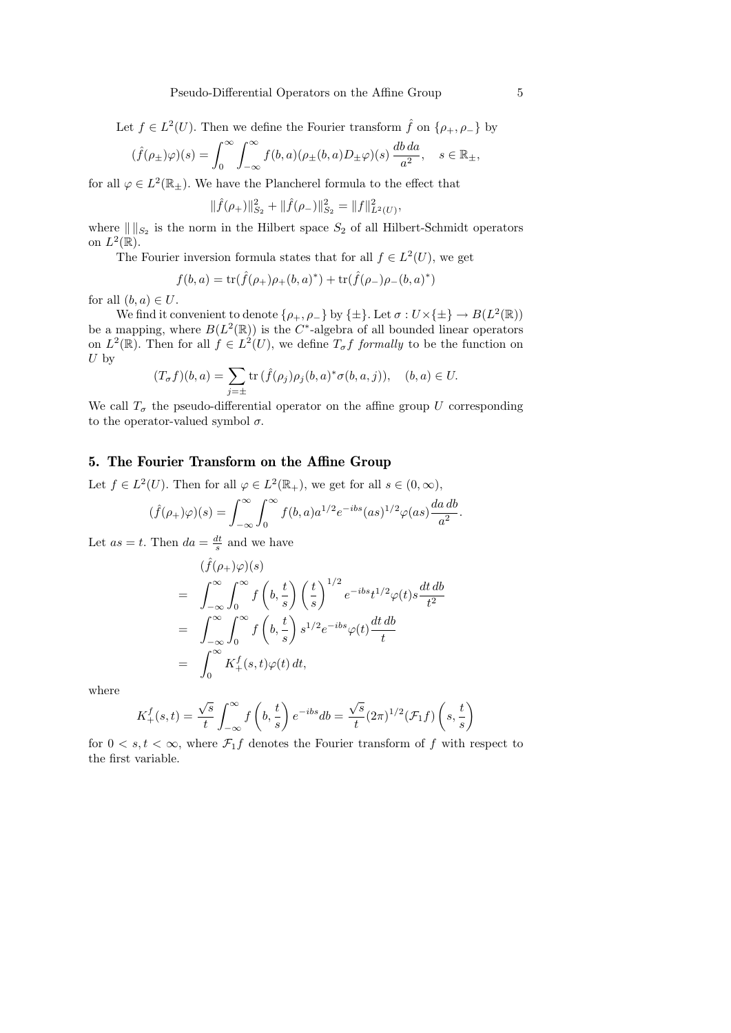Let  $f \in L^2(U)$ . Then we define the Fourier transform  $\hat{f}$  on  $\{\rho_+, \rho_-\}$  by

$$
(\hat{f}(\rho_{\pm})\varphi)(s) = \int_0^{\infty} \int_{-\infty}^{\infty} f(b,a)(\rho_{\pm}(b,a)D_{\pm}\varphi)(s) \frac{db\,da}{a^2}, \quad s \in \mathbb{R}_{\pm},
$$

for all  $\varphi \in L^2(\mathbb{R}_{\pm})$ . We have the Plancherel formula to the effect that

$$
\|\hat{f}(\rho_+)\|_{S_2}^2 + \|\hat{f}(\rho_-\)|_{S_2}^2 = \|f\|_{L^2(U)}^2,
$$

where  $\| \|_{S_2}$  is the norm in the Hilbert space  $S_2$  of all Hilbert-Schmidt operators on  $L^2(\mathbb{R})$ .

The Fourier inversion formula states that for all  $f \in L^2(U)$ , we get

$$
f(b,a) = \text{tr}(\hat{f}(\rho_+) \rho_+(b,a)^*) + \text{tr}(\hat{f}(\rho_-) \rho_-(b,a)^*)
$$

for all  $(b, a) \in U$ .

We find it convenient to denote  $\{\rho_+,\rho_-\}$  by  $\{\pm\}$ . Let  $\sigma: U \times \{\pm\} \to B(L^2(\mathbb{R}))$ be a mapping, where  $B(L^2(\mathbb{R}))$  is the C<sup>\*</sup>-algebra of all bounded linear operators on  $L^2(\mathbb{R})$ . Then for all  $f \in L^2(U)$ , we define  $T_{\sigma}f$  formally to be the function on  $U$  by

$$
(T_{\sigma}f)(b,a) = \sum_{j=\pm} \operatorname{tr} \left( \hat{f}(\rho_j) \rho_j(b,a)^* \sigma(b,a,j) \right), \quad (b,a) \in U.
$$

We call  $T_{\sigma}$  the pseudo-differential operator on the affine group U corresponding to the operator-valued symbol  $\sigma$ .

# 5. The Fourier Transform on the Affine Group

Let  $f \in L^2(U)$ . Then for all  $\varphi \in L^2(\mathbb{R}_+)$ , we get for all  $s \in (0, \infty)$ ,

$$
(\hat{f}(\rho_+)\varphi)(s) = \int_{-\infty}^{\infty} \int_0^{\infty} f(b,a)a^{1/2}e^{-ibs}(as)^{1/2}\varphi(as)\frac{da\,db}{a^2}
$$

Let  $as = t$ . Then  $da = \frac{dt}{s}$  and we have

$$
\begin{split}\n&(\hat{f}(\rho_{+})\varphi)(s) \\
&= \int_{-\infty}^{\infty} \int_{0}^{\infty} f\left(b, \frac{t}{s}\right) \left(\frac{t}{s}\right)^{1/2} e^{-ibs} t^{1/2} \varphi(t) s \frac{dt \, db}{t^{2}} \\
&= \int_{-\infty}^{\infty} \int_{0}^{\infty} f\left(b, \frac{t}{s}\right) s^{1/2} e^{-ibs} \varphi(t) \frac{dt \, db}{t} \\
&= \int_{0}^{\infty} K_{+}^{f}(s, t) \varphi(t) \, dt,\n\end{split}
$$

where

$$
K_+^f(s,t) = \frac{\sqrt{s}}{t} \int_{-\infty}^{\infty} f\left(b, \frac{t}{s}\right) e^{-ibs} db = \frac{\sqrt{s}}{t} (2\pi)^{1/2} (\mathcal{F}_1 f) \left(s, \frac{t}{s}\right)
$$

for  $0 < s, t < \infty$ , where  $\mathcal{F}_1 f$  denotes the Fourier transform of f with respect to the first variable.

.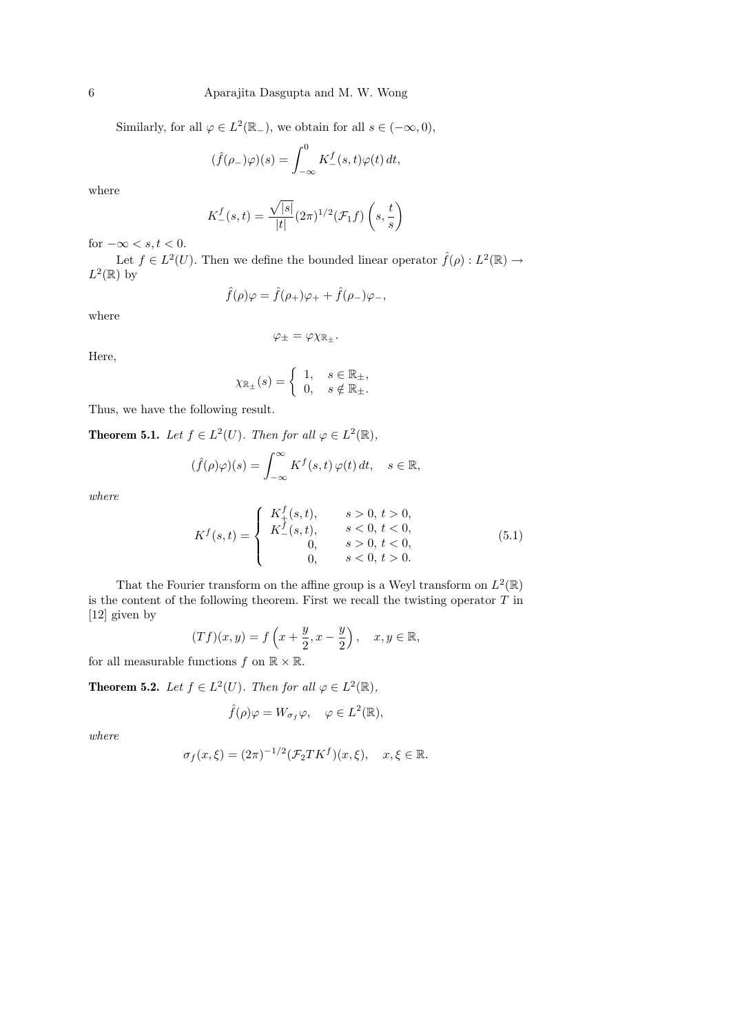Similarly, for all  $\varphi \in L^2(\mathbb{R}_-)$ , we obtain for all  $s \in (-\infty, 0)$ ,

$$
(\hat{f}(\rho_-)\varphi)(s) = \int_{-\infty}^0 K_-^f(s,t)\varphi(t) dt,
$$

where

$$
K_{-}^{f}(s,t) = \frac{\sqrt{|s|}}{|t|} (2\pi)^{1/2} (\mathcal{F}_1 f) \left(s, \frac{t}{s}\right)
$$

for  $-\infty < s, t < 0$ .

Let  $f \in L^2(U)$ . Then we define the bounded linear operator  $\hat{f}(\rho) : L^2(\mathbb{R}) \to$  $L^2(\mathbb{R})$  by

$$
\hat{f}(\rho)\varphi = \hat{f}(\rho_+)\varphi_+ + \hat{f}(\rho_-)\varphi_-,
$$

where

$$
\varphi_{\pm}=\varphi\chi_{\mathbb{R}_{\pm}}.
$$

Here,

$$
\chi_{\mathbb{R}_{\pm}}(s) = \begin{cases} 1, & s \in \mathbb{R}_{\pm}, \\ 0, & s \notin \mathbb{R}_{\pm}. \end{cases}
$$

Thus, we have the following result.

**Theorem 5.1.** Let  $f \in L^2(U)$ . Then for all  $\varphi \in L^2(\mathbb{R})$ ,

$$
(\hat{f}(\rho)\varphi)(s) = \int_{-\infty}^{\infty} K^f(s,t) \,\varphi(t) \,dt, \quad s \in \mathbb{R},
$$

where

$$
K^{f}(s,t) = \begin{cases} K_{+}^{f}(s,t), & s > 0, t > 0, \\ K_{-}^{f}(s,t), & s < 0, t < 0, \\ 0, & s > 0, t < 0, \\ 0, & s < 0, t > 0. \end{cases}
$$
(5.1)

That the Fourier transform on the affine group is a Weyl transform on  $L^2(\mathbb{R})$ is the content of the following theorem. First we recall the twisting operator  $T$  in [12] given by

$$
(Tf)(x,y) = f\left(x + \frac{y}{2}, x - \frac{y}{2}\right), \quad x, y \in \mathbb{R},
$$

for all measurable functions  $f$  on  $\mathbb{R} \times \mathbb{R}$ .

**Theorem 5.2.** Let  $f \in L^2(U)$ . Then for all  $\varphi \in L^2(\mathbb{R})$ ,

$$
\hat{f}(\rho)\varphi = W_{\sigma_f}\varphi, \quad \varphi \in L^2(\mathbb{R}),
$$

where

$$
\sigma_f(x,\xi) = (2\pi)^{-1/2} (\mathcal{F}_2 T K^f)(x,\xi), \quad x,\xi \in \mathbb{R}.
$$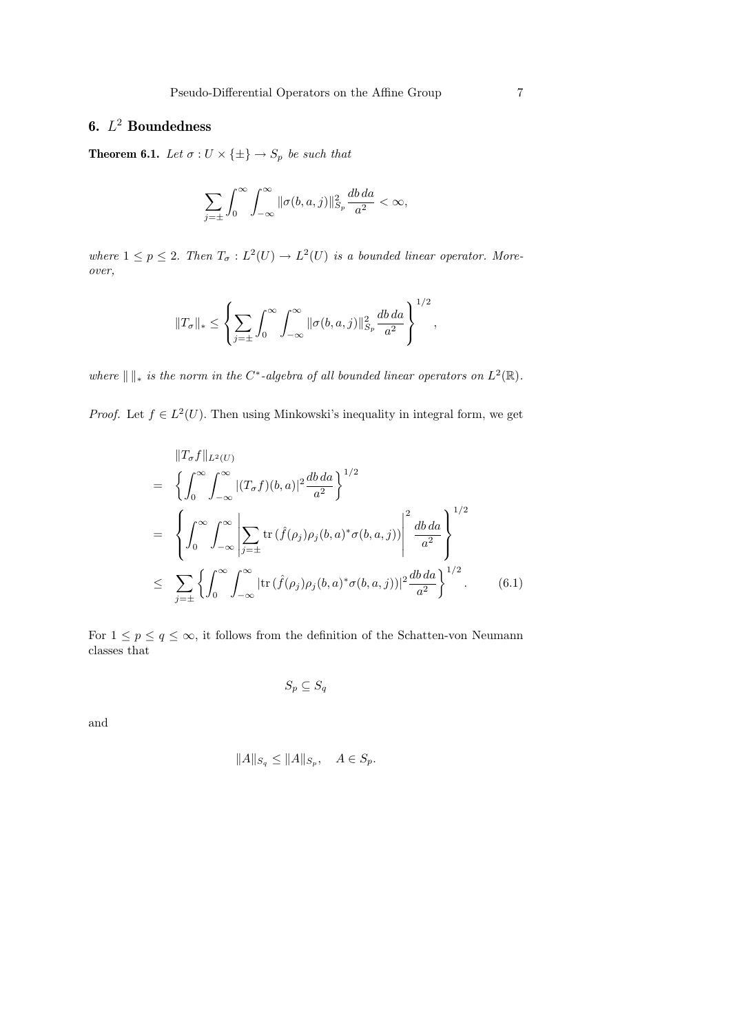# 6.  $L^2$  Boundedness

**Theorem 6.1.** Let  $\sigma: U \times \{\pm\} \to S_p$  be such that

$$
\sum_{j=\pm} \int_0^\infty \int_{-\infty}^\infty \|\sigma(b, a, j)\|_{S_p}^2 \frac{db \, da}{a^2} < \infty,
$$

where  $1 \leq p \leq 2$ . Then  $T_{\sigma}: L^2(U) \to L^2(U)$  is a bounded linear operator. Moreover,

$$
||T_{\sigma}||_* \le \left\{\sum_{j=\pm} \int_0^{\infty} \int_{-\infty}^{\infty} ||\sigma(b, a, j)||_{S_p}^2 \frac{db \, da}{a^2}\right\}^{1/2},
$$

where  $\| \cdot \|_*$  is the norm in the C<sup>∗</sup>-algebra of all bounded linear operators on  $L^2(\mathbb{R})$ .

*Proof.* Let  $f \in L^2(U)$ . Then using Minkowski's inequality in integral form, we get

$$
\|T_{\sigma}f\|_{L^{2}(U)}
$$
\n
$$
= \left\{\int_{0}^{\infty}\int_{-\infty}^{\infty}|(T_{\sigma}f)(b,a)|^{2}\frac{db\,da}{a^{2}}\right\}^{1/2}
$$
\n
$$
= \left\{\int_{0}^{\infty}\int_{-\infty}^{\infty}\left|\sum_{j=\pm}\text{tr}\left(\hat{f}(\rho_{j})\rho_{j}(b,a)^{*}\sigma(b,a,j)\right)\right|^{2}\frac{db\,da}{a^{2}}\right\}^{1/2}
$$
\n
$$
\leq \sum_{j=\pm}\left\{\int_{0}^{\infty}\int_{-\infty}^{\infty}|\text{tr}\left(\hat{f}(\rho_{j})\rho_{j}(b,a)^{*}\sigma(b,a,j)\right)|^{2}\frac{db\,da}{a^{2}}\right\}^{1/2}.
$$
\n(6.1)

For  $1 \leq p \leq q \leq \infty$ , it follows from the definition of the Schatten-von Neumann classes that

 $S_p \subseteq S_q$ 

and

$$
||A||_{S_q} \le ||A||_{S_p}, \quad A \in S_p.
$$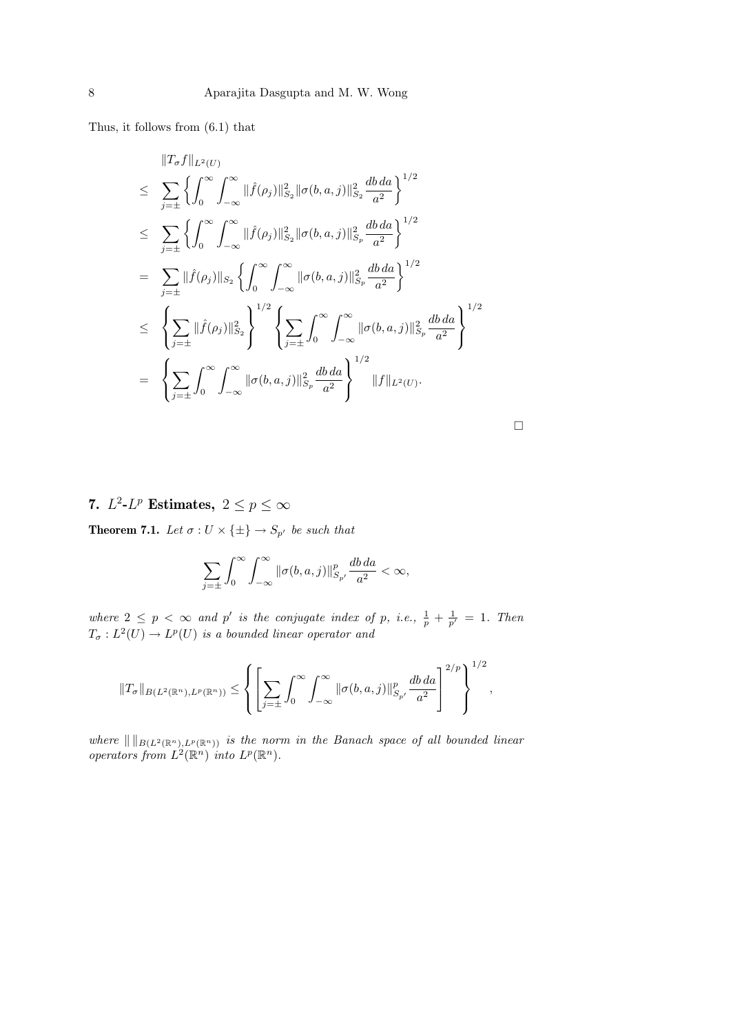Thus, it follows from (6.1) that

$$
\|T_{\sigma}f\|_{L^{2}(U)}
$$
\n
$$
\leq \sum_{j=\pm} \left\{ \int_{0}^{\infty} \int_{-\infty}^{\infty} \|\hat{f}(\rho_{j})\|_{S_{2}}^{2} \|\sigma(b, a, j)\|_{S_{2}}^{2} \frac{db da}{a^{2}} \right\}^{1/2}
$$
\n
$$
\leq \sum_{j=\pm} \left\{ \int_{0}^{\infty} \int_{-\infty}^{\infty} \|\hat{f}(\rho_{j})\|_{S_{2}}^{2} \|\sigma(b, a, j)\|_{S_{p}}^{2} \frac{db da}{a^{2}} \right\}^{1/2}
$$
\n
$$
= \sum_{j=\pm} \|\hat{f}(\rho_{j})\|_{S_{2}} \left\{ \int_{0}^{\infty} \int_{-\infty}^{\infty} \|\sigma(b, a, j)\|_{S_{p}}^{2} \frac{db da}{a^{2}} \right\}^{1/2}
$$
\n
$$
\leq \left\{ \sum_{j=\pm} \|\hat{f}(\rho_{j})\|_{S_{2}}^{2} \right\}^{1/2} \left\{ \sum_{j=\pm} \int_{0}^{\infty} \int_{-\infty}^{\infty} \|\sigma(b, a, j)\|_{S_{p}}^{2} \frac{db da}{a^{2}} \right\}^{1/2}
$$
\n
$$
= \left\{ \sum_{j=\pm} \int_{0}^{\infty} \int_{-\infty}^{\infty} \|\sigma(b, a, j)\|_{S_{p}}^{2} \frac{db da}{a^{2}} \right\}^{1/2} \|f\|_{L^{2}(U)}.
$$

 $\Box$ 

7.  $L^2$ - $L^p$  Estimates,  $2 \leq p \leq \infty$ 

**Theorem 7.1.** Let  $\sigma: U \times \{\pm\} \to S_{p'}$  be such that

$$
\sum_{j=\pm} \int_0^\infty \int_{-\infty}^\infty \|\sigma(b, a, j)\|_{S_{p'}}^p \frac{db \, da}{a^2} < \infty,
$$

where  $2 \leq p \lt \infty$  and p' is the conjugate index of p, i.e.,  $\frac{1}{p} + \frac{1}{p'} = 1$ . Then  $T_{\sigma}: L^2(U) \to L^p(U)$  is a bounded linear operator and

$$
||T_{\sigma}||_{B(L^{2}(\mathbb{R}^{n}), L^{p}(\mathbb{R}^{n}))} \leq \left\{ \left[ \sum_{j=\pm} \int_{0}^{\infty} \int_{-\infty}^{\infty} ||\sigma(b, a, j)||_{S_{p'}}^{p} \frac{db \, da}{a^{2}} \right]^{2/p} \right\}^{1/2},
$$

where  $\| \|_{B(L^2(\mathbb{R}^n),L^p(\mathbb{R}^n))}$  is the norm in the Banach space of all bounded linear operators from  $L^2(\mathbb{R}^n)$  into  $L^p(\mathbb{R}^n)$ .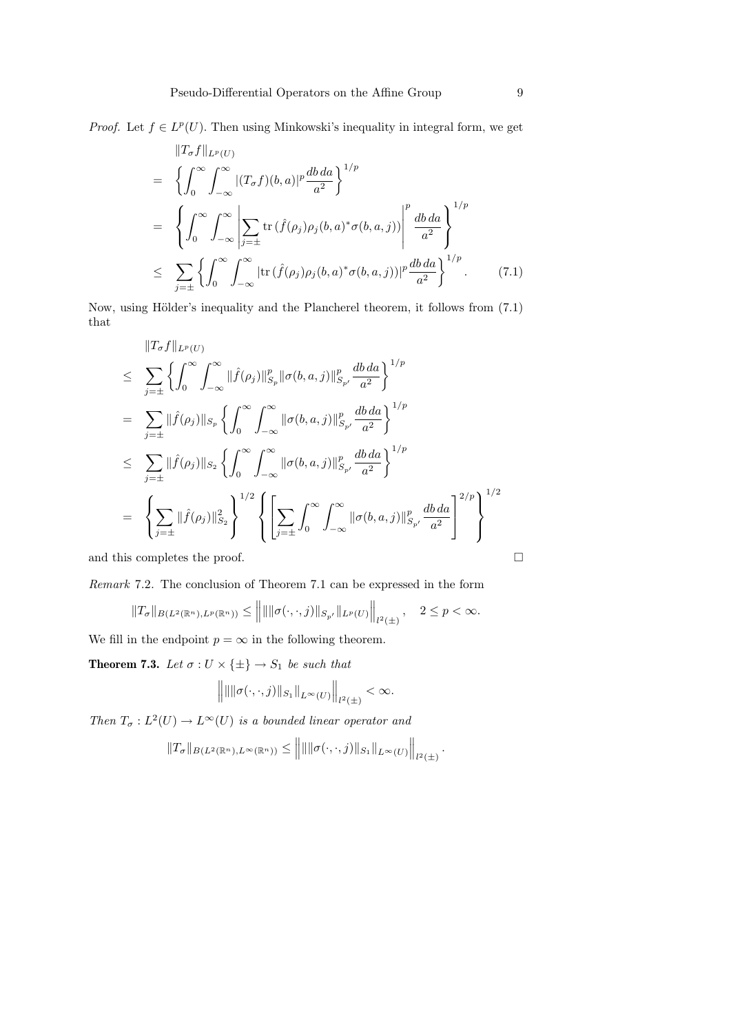*Proof.* Let  $f \in L^p(U)$ . Then using Minkowski's inequality in integral form, we get

$$
\|T_{\sigma}f\|_{L^{p}(U)}
$$
\n
$$
= \left\{\int_{0}^{\infty}\int_{-\infty}^{\infty}|(T_{\sigma}f)(b,a)|^{p}\frac{db\,da}{a^{2}}\right\}^{1/p}
$$
\n
$$
= \left\{\int_{0}^{\infty}\int_{-\infty}^{\infty}\left|\sum_{j=\pm}\text{tr}\left(\hat{f}(\rho_{j})\rho_{j}(b,a)^{*}\sigma(b,a,j)\right)\right|^{p}\frac{db\,da}{a^{2}}\right\}^{1/p}
$$
\n
$$
\leq \sum_{j=\pm}\left\{\int_{0}^{\infty}\int_{-\infty}^{\infty}|\text{tr}\left(\hat{f}(\rho_{j})\rho_{j}(b,a)^{*}\sigma(b,a,j)\right)|^{p}\frac{db\,da}{a^{2}}\right\}^{1/p}.\tag{7.1}
$$

Now, using Hölder's inequality and the Plancherel theorem, it follows from  $(7.1)$ that

$$
\|T_{\sigma}f\|_{L^{p}(U)}
$$
\n
$$
\leq \sum_{j=\pm} \left\{ \int_{0}^{\infty} \int_{-\infty}^{\infty} \|\hat{f}(\rho_{j})\|_{S_{p}}^{p} \|\sigma(b, a, j)\|_{S_{p'}}^{p} \frac{db \, da}{a^{2}} \right\}^{1/p}
$$
\n
$$
= \sum_{j=\pm} \|\hat{f}(\rho_{j})\|_{S_{p}} \left\{ \int_{0}^{\infty} \int_{-\infty}^{\infty} \|\sigma(b, a, j)\|_{S_{p'}}^{p} \frac{db \, da}{a^{2}} \right\}^{1/p}
$$
\n
$$
\leq \sum_{j=\pm} \|\hat{f}(\rho_{j})\|_{S_{2}} \left\{ \int_{0}^{\infty} \int_{-\infty}^{\infty} \|\sigma(b, a, j)\|_{S_{p'}}^{p} \frac{db \, da}{a^{2}} \right\}^{1/p}
$$
\n
$$
= \left\{ \sum_{j=\pm} \|\hat{f}(\rho_{j})\|_{S_{2}}^{2} \right\}^{1/2} \left\{ \left[ \sum_{j=\pm} \int_{0}^{\infty} \int_{-\infty}^{\infty} \|\sigma(b, a, j)\|_{S_{p'}}^{p} \frac{db \, da}{a^{2}} \right]^{2/p} \right\}^{1/2}
$$
\nand this completes the proof.

Remark 7.2. The conclusion of Theorem 7.1 can be expressed in the form

$$
||T_{\sigma}||_{B(L^2(\mathbb{R}^n),L^p(\mathbb{R}^n))} \leq ||\| ||\sigma(\cdot,\cdot,j)||_{S_{p'}}||_{L^p(U)}||_{L^2(\pm)}, \quad 2 \leq p < \infty.
$$

We fill in the endpoint  $p = \infty$  in the following theorem.

**Theorem 7.3.** Let  $\sigma: U \times \{\pm\} \to S_1$  be such that

$$
\left\| \|\|\sigma(\cdot,\cdot,j)\|_{S_1}\|_{L^{\infty}(U)} \right\|_{l^2(\pm)} < \infty.
$$

Then  $T_{\sigma}: L^2(U) \to L^{\infty}(U)$  is a bounded linear operator and

$$
||T_{\sigma}||_{B(L^{2}(\mathbb{R}^{n}), L^{\infty}(\mathbb{R}^{n}))} \leq |||| ||\sigma(\cdot, \cdot, j)||_{S_{1}}||_{L^{\infty}(U)}||_{l^{2}(\pm)}.
$$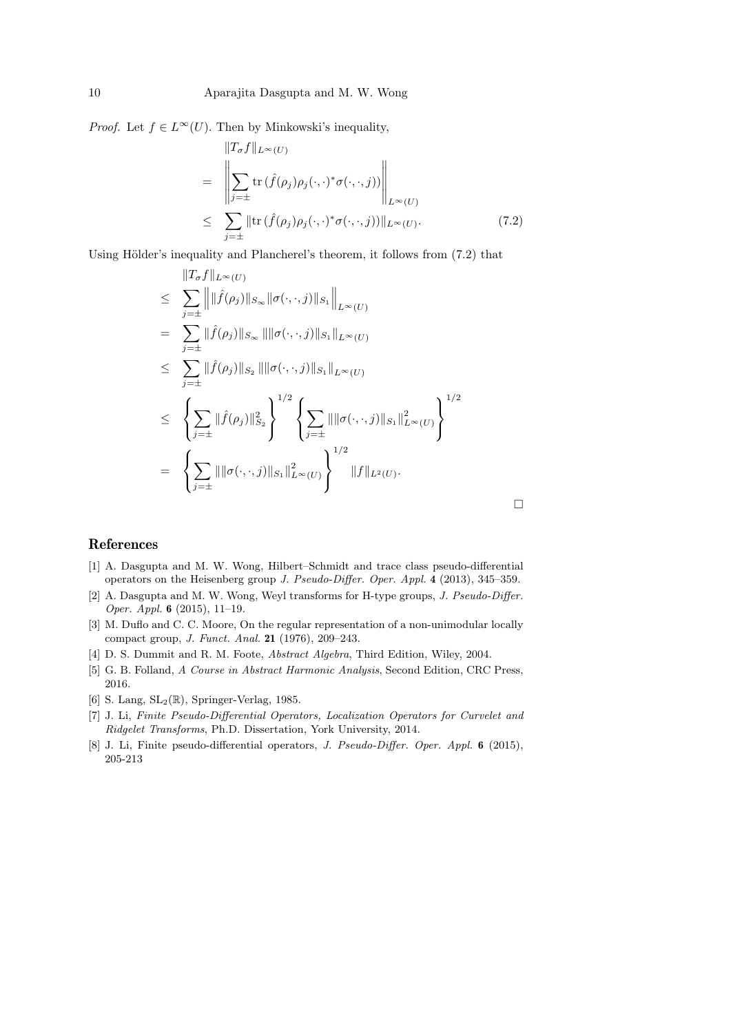*Proof.* Let  $f \in L^{\infty}(U)$ . Then by Minkowski's inequality,

$$
\|T_{\sigma}f\|_{L^{\infty}(U)}
$$
\n
$$
= \left\|\sum_{j=\pm} \text{tr}\left(\hat{f}(\rho_{j})\rho_{j}(\cdot,\cdot)^{*}\sigma(\cdot,\cdot,j)\right)\right\|_{L^{\infty}(U)}
$$
\n
$$
\leq \sum_{j=\pm} \|\text{tr}\left(\hat{f}(\rho_{j})\rho_{j}(\cdot,\cdot)^{*}\sigma(\cdot,\cdot,j)\right)\|_{L^{\infty}(U)}.
$$
\n(7.2)

Using Hölder's inequality and Plancherel's theorem, it follows from  $(7.2)$  that

$$
\|T_{\sigma}f\|_{L^{\infty}(U)}
$$
\n
$$
\leq \sum_{j=\pm}^{\infty} \left\| \|\hat{f}(\rho_{j})\|_{S_{\infty}} \|\sigma(\cdot,\cdot,j)\|_{S_{1}} \right\|_{L^{\infty}(U)}
$$
\n
$$
= \sum_{j=\pm}^{\infty} \|\hat{f}(\rho_{j})\|_{S_{\infty}} \|\|\sigma(\cdot,\cdot,j)\|_{S_{1}}\|_{L^{\infty}(U)}
$$
\n
$$
\leq \sum_{j=\pm}^{\infty} \|\hat{f}(\rho_{j})\|_{S_{2}} \|\|\sigma(\cdot,\cdot,j)\|_{S_{1}}\|_{L^{\infty}(U)}
$$
\n
$$
\leq \left\{ \sum_{j=\pm}^{\infty} \|\hat{f}(\rho_{j})\|_{S_{2}}^{2} \right\}^{1/2} \left\{ \sum_{j=\pm}^{\infty} \|\|\sigma(\cdot,\cdot,j)\|_{S_{1}}\|_{L^{\infty}(U)}^{2} \right\}^{1/2}
$$
\n
$$
= \left\{ \sum_{j=\pm}^{\infty} \|\|\sigma(\cdot,\cdot,j)\|_{S_{1}}\|_{L^{\infty}(U)}^{2} \right\}^{1/2} \|f\|_{L^{2}(U)}.
$$

 $\Box$ 

## References

- [1] A. Dasgupta and M. W. Wong, Hilbert–Schmidt and trace class pseudo-differential operators on the Heisenberg group J. Pseudo-Differ. Oper. Appl. 4 (2013), 345–359.
- [2] A. Dasgupta and M. W. Wong, Weyl transforms for H-type groups, *J. Pseudo-Differ.* Oper. Appl. 6 (2015), 11–19.
- [3] M. Duflo and C. C. Moore, On the regular representation of a non-unimodular locally compact group, J. Funct. Anal. 21 (1976), 209–243.
- [4] D. S. Dummit and R. M. Foote, Abstract Algebra, Third Edition, Wiley, 2004.
- [5] G. B. Folland, A Course in Abstract Harmonic Analysis, Second Edition, CRC Press, 2016.
- [6] S. Lang,  $SL_2(\mathbb{R})$ , Springer-Verlag, 1985.
- [7] J. Li, Finite Pseudo-Differential Operators, Localization Operators for Curvelet and Ridgelet Transforms, Ph.D. Dissertation, York University, 2014.
- [8] J. Li, Finite pseudo-differential operators, *J. Pseudo-Differ. Oper. Appl.* 6 (2015), 205-213